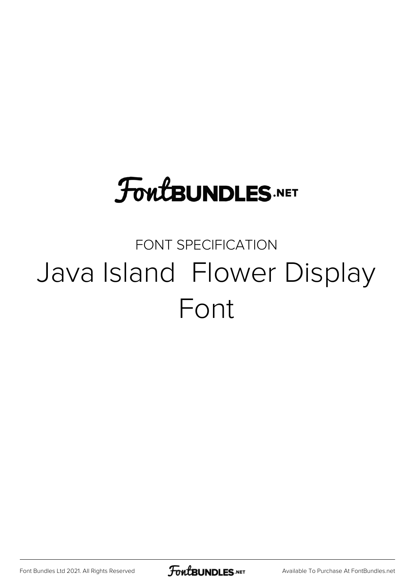# **FoutBUNDLES.NET**

### FONT SPECIFICATION Java Island Flower Display Font

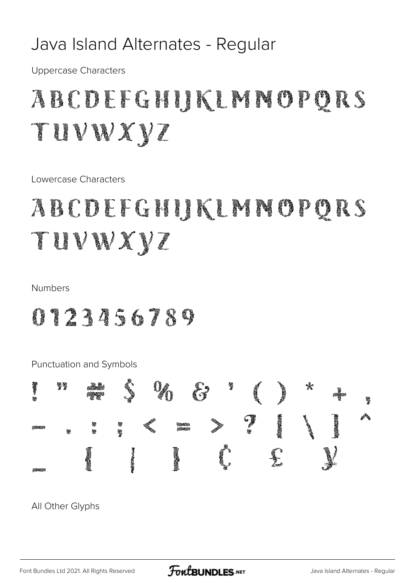### Java Island Alternates - Regular

**Uppercase Characters** 

## ABCDEFGHIKLMMOPQRS TUVWXYZ

Lowercase Characters

### ABCDEFGHIJKLMNOPORS TUVWXYZ

#### **Numbers**

### 0123456789



All Other Glyphs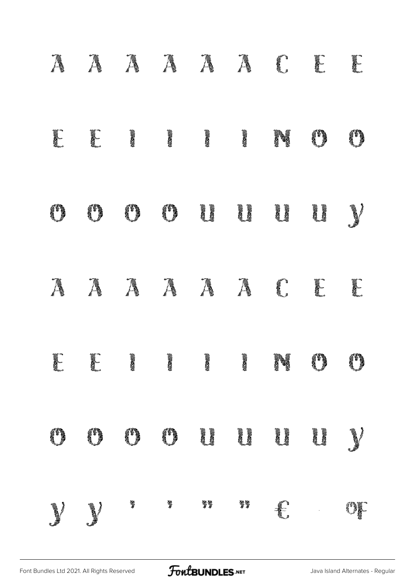| Ã              | Ã      | Ã            | Ã             | Ã             | Ã             | C.                | E   | E   |
|----------------|--------|--------------|---------------|---------------|---------------|-------------------|-----|-----|
| <b>CONTROL</b> | E      | <b>ANGER</b> | <b>ANDER</b>  | <b>ANDER</b>  | <b>AND</b>    | N                 | (i) | (*) |
| (1)            | (i)    | (1)          | (*)           | ij            | ij<br>Li      |                   | ij  | J)  |
| Ã              | Ã      | Ã            | Ã             | Ã             | Ã             | <b>CONTRACTOR</b> | E   | E   |
| E              | E      | <b>ANGER</b> | <b>ERSIDE</b> | <b>ERSIDE</b> | <b>AND</b>    | Ŋ                 | (1) | 0   |
| (i             |        | (i)          | (F)           | ij            | Į             | l<br>Li           |     | V   |
| <b>Compart</b> | $\int$ | 箩            | 釁             | $\sqrt[3]{3}$ | $\mathcal{D}$ | J.                |     | O)  |

FontBUNDLES.NET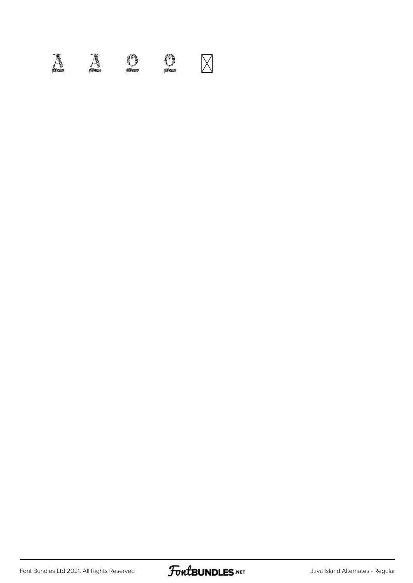## $\mathbb{A}$   $\mathbb{A}$  or  $\mathbb{C}$   $\boxtimes$

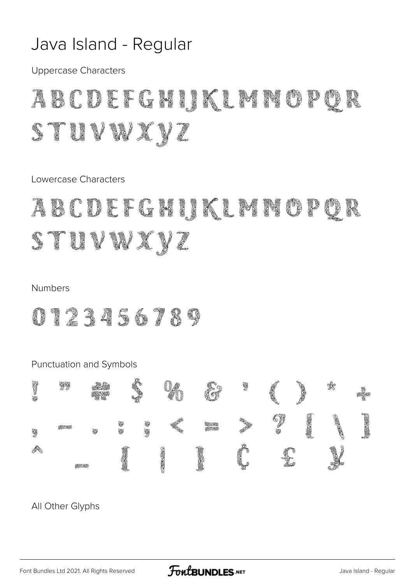### Java Island - Regular

Uppercase Characters

## ABCDEFGHIKLMNOP STUVWXYZ

Lowercase Characters

### abcdefghiklmng stuvwxyz

#### Numbers

0123456789



All Other Glyphs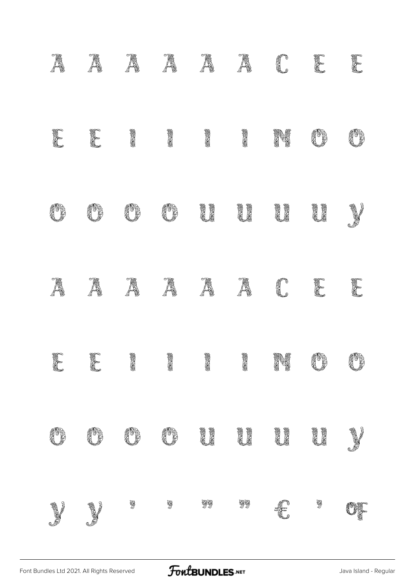|          |                                                                                                                      | Ã          | A   |                               |                             | C       | C       | T  |
|----------|----------------------------------------------------------------------------------------------------------------------|------------|-----|-------------------------------|-----------------------------|---------|---------|----|
| F        | Į                                                                                                                    | <b>AND</b> | 医不同 | 经发票                           | <b>Andr</b>                 | ng<br>1 |         | ß  |
| 83<br>8  |                                                                                                                      |            |     | <b>ACCES</b><br><b>MARIAN</b> | <b>Aldr</b><br><b>March</b> | i<br>Li | i<br>Li |    |
| Ã        | Ã                                                                                                                    | Ã          | Ã   | Ã                             | Ã                           | C       | I       | I  |
| E        | E                                                                                                                    | 高尾         | 经发  | <b>Koose</b>                  | 经道                          | N       | J       | J  |
| <b>R</b> |                                                                                                                      |            |     | i<br>Li                       | i<br>Li                     | i<br>Li | i<br>Li | J  |
| J        | <b>Contract Contract Contract Contract Contract Contract Contract Contract Contract Contract Contract Contract C</b> | \$         | 5   | $\mathcal{B}$                 | 99                          | £       | \$      | UJ |